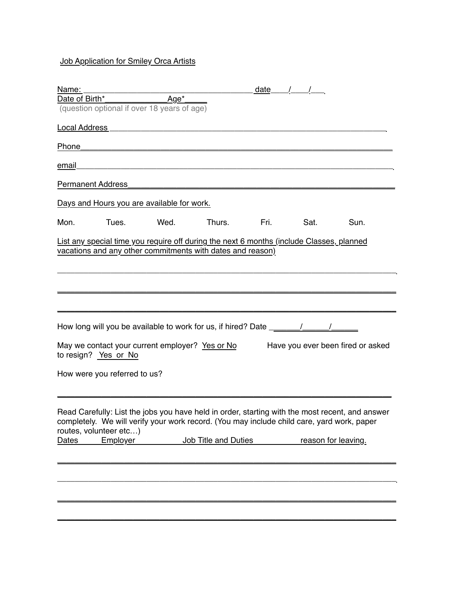## **Job Application for Smiley Orca Artists**

| Name:                                                                                                                                                                                                                                               |      |                      |      | date $/$ / $/$      |                                   |
|-----------------------------------------------------------------------------------------------------------------------------------------------------------------------------------------------------------------------------------------------------|------|----------------------|------|---------------------|-----------------------------------|
|                                                                                                                                                                                                                                                     |      |                      |      |                     |                                   |
| (question optional if over 18 years of age)                                                                                                                                                                                                         |      |                      |      |                     |                                   |
|                                                                                                                                                                                                                                                     |      |                      |      |                     |                                   |
|                                                                                                                                                                                                                                                     |      |                      |      |                     |                                   |
| email_                                                                                                                                                                                                                                              |      |                      |      |                     |                                   |
|                                                                                                                                                                                                                                                     |      |                      |      |                     |                                   |
| Days and Hours you are available for work.                                                                                                                                                                                                          |      |                      |      |                     |                                   |
| Mon.<br>Tues.                                                                                                                                                                                                                                       | Wed. | Thurs.               | Fri. | Sat.                | Sun.                              |
| List any special time you require off during the next 6 months (include Classes, planned<br>vacations and any other commitments with dates and reason)                                                                                              |      |                      |      |                     |                                   |
|                                                                                                                                                                                                                                                     |      |                      |      |                     |                                   |
|                                                                                                                                                                                                                                                     |      |                      |      |                     |                                   |
|                                                                                                                                                                                                                                                     |      |                      |      |                     |                                   |
| May we contact your current employer? Yes or No<br>to resign? Yes or No                                                                                                                                                                             |      |                      |      |                     | Have you ever been fired or asked |
| How were you referred to us?                                                                                                                                                                                                                        |      |                      |      |                     |                                   |
| Read Carefully: List the jobs you have held in order, starting with the most recent, and answer<br>completely. We will verify your work record. (You may include child care, yard work, paper<br>routes, volunteer etc)<br>Employer<br><b>Dates</b> |      | Job Title and Duties |      | reason for leaving. |                                   |
|                                                                                                                                                                                                                                                     |      |                      |      |                     |                                   |
|                                                                                                                                                                                                                                                     |      |                      |      |                     |                                   |
|                                                                                                                                                                                                                                                     |      |                      |      |                     |                                   |